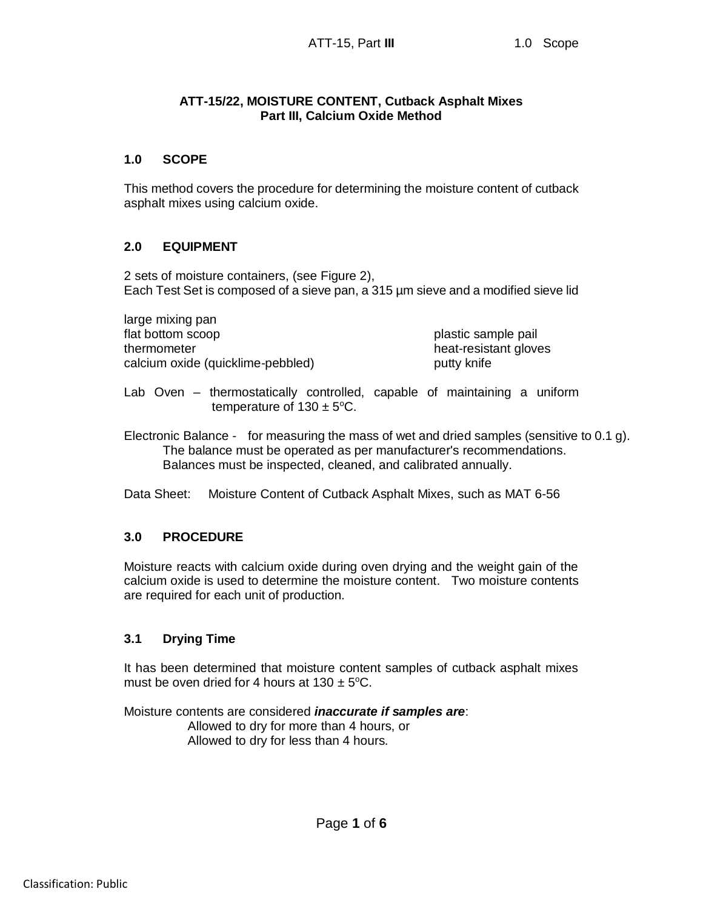## **ATT-15/22, MOISTURE CONTENT, Cutback Asphalt Mixes Part III, Calcium Oxide Method**

# **1.0 SCOPE**

This method covers the procedure for determining the moisture content of cutback asphalt mixes using calcium oxide.

# **2.0 EQUIPMENT**

2 sets of moisture containers, (see Figure 2), Each Test Set is composed of a sieve pan, a 315 µm sieve and a modified sieve lid

large mixing pan flat bottom scoop plastic sample pail thermometer **heat-resistant gloves** calcium oxide (quicklime-pebbled) entity knife

Lab Oven – thermostatically controlled, capable of maintaining a uniform temperature of  $130 \pm 5^{\circ}$ C.

Electronic Balance - for measuring the mass of wet and dried samples (sensitive to 0.1 g). The balance must be operated as per manufacturer's recommendations. Balances must be inspected, cleaned, and calibrated annually.

Data Sheet: Moisture Content of Cutback Asphalt Mixes, such as MAT 6-56

# **3.0 PROCEDURE**

Moisture reacts with calcium oxide during oven drying and the weight gain of the calcium oxide is used to determine the moisture content. Two moisture contents are required for each unit of production.

### **3.1 Drying Time**

It has been determined that moisture content samples of cutback asphalt mixes must be oven dried for 4 hours at  $130 \pm 5^{\circ}$ C.

Moisture contents are considered *inaccurate if samples are*: Allowed to dry for more than 4 hours, or Allowed to dry for less than 4 hours.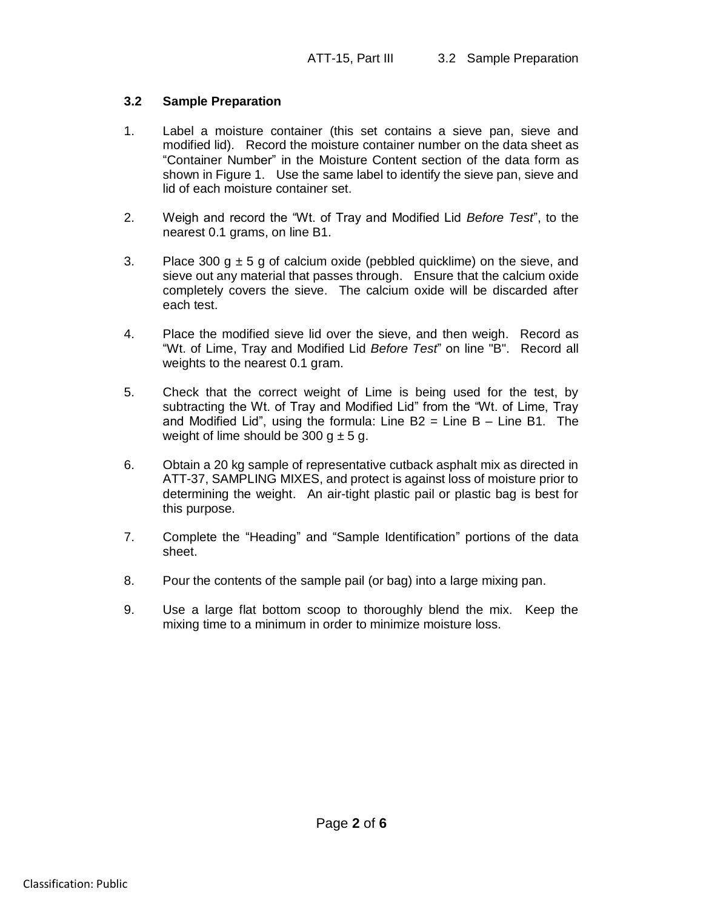## **3.2 Sample Preparation**

- 1. Label a moisture container (this set contains a sieve pan, sieve and modified lid). Record the moisture container number on the data sheet as "Container Number" in the Moisture Content section of the data form as shown in Figure 1. Use the same label to identify the sieve pan, sieve and lid of each moisture container set.
- 2. Weigh and record the "Wt. of Tray and Modified Lid *Before Test*", to the nearest 0.1 grams, on line B1.
- 3. Place 300  $q \pm 5 q$  of calcium oxide (pebbled quicklime) on the sieve, and sieve out any material that passes through. Ensure that the calcium oxide completely covers the sieve. The calcium oxide will be discarded after each test.
- 4. Place the modified sieve lid over the sieve, and then weigh. Record as "Wt. of Lime, Tray and Modified Lid *Before Test*" on line "B". Record all weights to the nearest 0.1 gram.
- 5. Check that the correct weight of Lime is being used for the test, by subtracting the Wt. of Tray and Modified Lid" from the "Wt. of Lime, Tray and Modified Lid", using the formula: Line  $B2$  = Line B – Line B1. The weight of lime should be 300  $g \pm 5$  g.
- 6. Obtain a 20 kg sample of representative cutback asphalt mix as directed in ATT-37, SAMPLING MIXES, and protect is against loss of moisture prior to determining the weight. An air-tight plastic pail or plastic bag is best for this purpose.
- 7. Complete the "Heading" and "Sample Identification" portions of the data sheet.
- 8. Pour the contents of the sample pail (or bag) into a large mixing pan.
- 9. Use a large flat bottom scoop to thoroughly blend the mix. Keep the mixing time to a minimum in order to minimize moisture loss.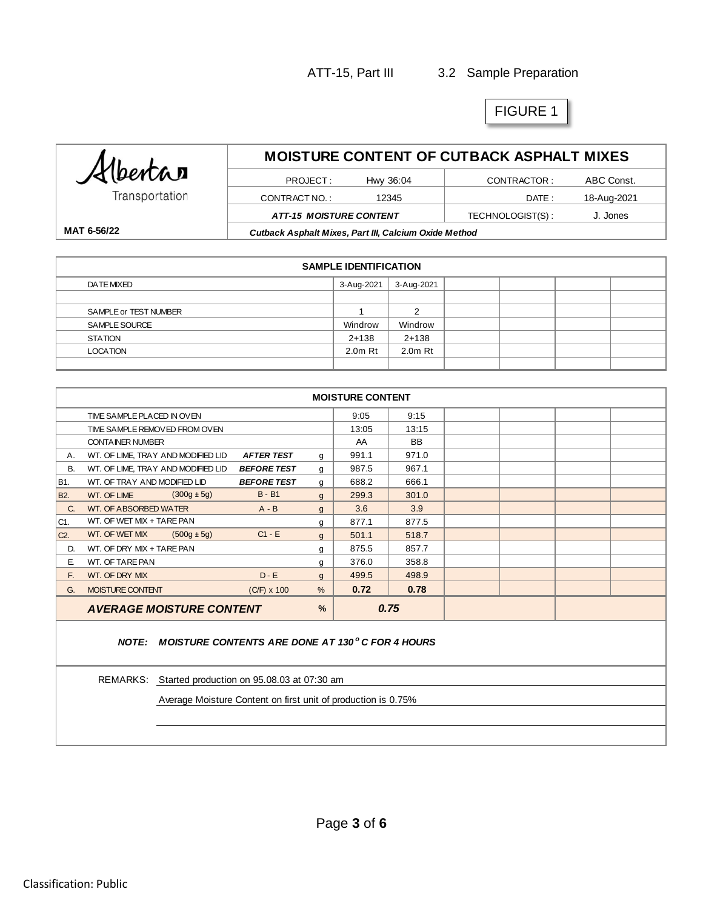# ATT-15, Part III 3.2 Sample Preparation

# FIGURE 1

| Albertan       | <b>MOISTURE CONTENT OF CUTBACK ASPHALT MIXES</b>      |       |                  |             |  |  |
|----------------|-------------------------------------------------------|-------|------------------|-------------|--|--|
|                | Hwy 36:04<br>PROJECT:<br>CONTRACTOR:                  |       |                  | ABC Const.  |  |  |
| Transportation | CONTRACT NO.:                                         | 12345 | DATE :           | 18-Aug-2021 |  |  |
|                | <b>ATT-15 MOISTURE CONTENT</b>                        |       | TECHNOLOGIST(S): | J. Jones    |  |  |
| MAT 6-56/22    | Cutback Asphalt Mixes, Part III, Calcium Oxide Method |       |                  |             |  |  |

| <b>SAMPLE IDENTIFICATION</b> |            |            |  |  |  |  |
|------------------------------|------------|------------|--|--|--|--|
| DATE MIXED                   | 3-Aug-2021 | 3-Aug-2021 |  |  |  |  |
|                              |            |            |  |  |  |  |
| SAMPLE or TEST NUMBER        |            | c          |  |  |  |  |
| SAMPLE SOURCE                | Windrow    | Windrow    |  |  |  |  |
| <b>STATION</b>               | $2+138$    | $2+138$    |  |  |  |  |
| <b>LOCATION</b>              | $2.0m$ Rt  | $2.0m$ Rt  |  |  |  |  |
|                              |            |            |  |  |  |  |

| <b>MOISTURE CONTENT</b>                               |                                                  |                    |               |       |           |  |  |  |
|-------------------------------------------------------|--------------------------------------------------|--------------------|---------------|-------|-----------|--|--|--|
|                                                       | TIME SAMPLE PLACED IN OVEN                       |                    |               | 9:05  | 9:15      |  |  |  |
|                                                       | TIME SAMPLE REMOVED FROM OVEN                    |                    |               | 13:05 | 13:15     |  |  |  |
|                                                       | <b>CONTAINER NUMBER</b>                          |                    |               | AA    | <b>BB</b> |  |  |  |
| Α.                                                    | WT. OF LIME, TRAY AND MODIFIED LID               | <b>AFTER TEST</b>  | g             | 991.1 | 971.0     |  |  |  |
| <b>B.</b>                                             | WT. OF LIME, TRAY AND MODIFIED LID               | <b>BEFORE TEST</b> | g             | 987.5 | 967.1     |  |  |  |
| B1.                                                   | WT. OF TRAY AND MODIFIED LID                     | <b>BEFORE TEST</b> | g             | 688.2 | 666.1     |  |  |  |
| <b>B2.</b>                                            | $(300g \pm 5g)$<br><b>WT. OF LIME</b>            | $B - B1$           | $\mathbf{g}$  | 299.3 | 301.0     |  |  |  |
| C.                                                    | WT. OF ABSORBED WATER                            | $A - B$            | g             | 3.6   | 3.9       |  |  |  |
| C1.                                                   | WT. OF WET MIX + TARE PAN                        |                    | g             | 877.1 | 877.5     |  |  |  |
| $C2$ .                                                | WT. OF WET MIX<br>$(500g \pm 5g)$                | $C1 - E$           | $\mathbf{g}$  | 501.1 | 518.7     |  |  |  |
| D.                                                    | WT. OF DRY MIX + TARE PAN                        |                    | g             | 875.5 | 857.7     |  |  |  |
| Е.                                                    | WT. OF TARE PAN                                  |                    | g             | 376.0 | 358.8     |  |  |  |
| F.                                                    | WT. OF DRY MIX                                   | $D - E$            | $\mathbf{g}$  | 499.5 | 498.9     |  |  |  |
| G.                                                    | <b>MOISTURE CONTENT</b>                          | $(C/F) \times 100$ | $\frac{0}{0}$ | 0.72  | 0.78      |  |  |  |
|                                                       | $\frac{9}{6}$<br><b>AVERAGE MOISTURE CONTENT</b> |                    |               |       | 0.75      |  |  |  |
| NOTE: MOISTURE CONTENTS ARE DONE AT 130°C FOR 4 HOURS |                                                  |                    |               |       |           |  |  |  |

REMARKS: Started production on 95.08.03 at 07:30 am

Average Moisture Content on first unit of production is 0.75%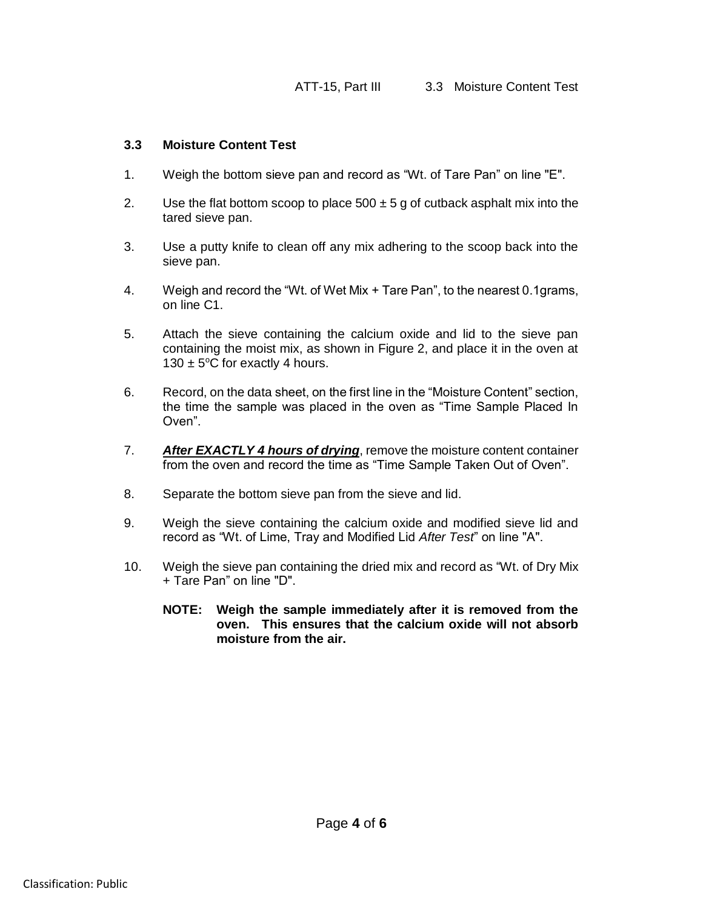### **3.3 Moisture Content Test**

- 1. Weigh the bottom sieve pan and record as "Wt. of Tare Pan" on line "E".
- 2. Use the flat bottom scoop to place  $500 \pm 5$  g of cutback asphalt mix into the tared sieve pan.
- 3. Use a putty knife to clean off any mix adhering to the scoop back into the sieve pan.
- 4. Weigh and record the "Wt. of Wet Mix + Tare Pan", to the nearest 0.1grams, on line C1.
- 5. Attach the sieve containing the calcium oxide and lid to the sieve pan containing the moist mix, as shown in Figure 2, and place it in the oven at 130  $\pm$  5°C for exactly 4 hours.
- 6. Record, on the data sheet, on the first line in the "Moisture Content" section, the time the sample was placed in the oven as "Time Sample Placed In Oven".
- 7. *After EXACTLY 4 hours of drying*, remove the moisture content container from the oven and record the time as "Time Sample Taken Out of Oven".
- 8. Separate the bottom sieve pan from the sieve and lid.
- 9. Weigh the sieve containing the calcium oxide and modified sieve lid and record as "Wt. of Lime, Tray and Modified Lid *After Test*" on line "A".
- 10. Weigh the sieve pan containing the dried mix and record as "Wt. of Dry Mix + Tare Pan" on line "D".
	- **NOTE: Weigh the sample immediately after it is removed from the oven. This ensures that the calcium oxide will not absorb moisture from the air.**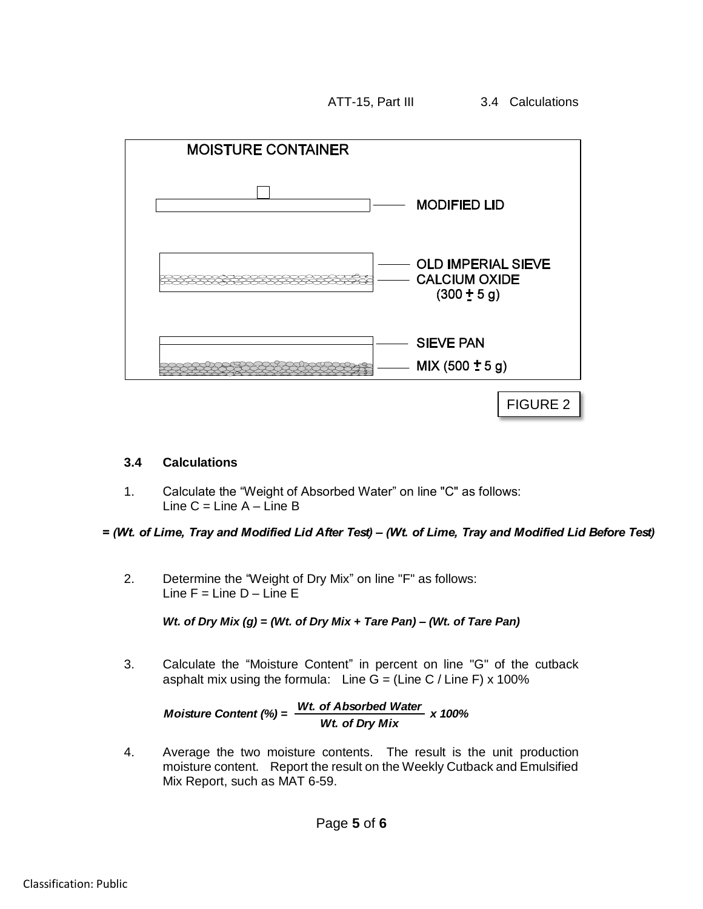ATT-15, Part III 3.4 Calculations

**MOISTURE CONTAINER MODIFIED LID OLD IMPERIAL SIEVE CALCIUM OXIDE** 52232222232222222222222  $(300 \pm 5 g)$ **SIEVE PAN** MIX  $(500 \pm 5 g)$ ₩₩

FIGURE 2

# **3.4 Calculations**

1. Calculate the "Weight of Absorbed Water" on line "C" as follows: Line  $C =$  Line  $A -$  Line B

*= (Wt. of Lime, Tray and Modified Lid After Test) – (Wt. of Lime, Tray and Modified Lid Before Test)*

2. Determine the "Weight of Dry Mix" on line "F" as follows: Line  $F =$  Line  $D -$  Line  $E$ 

*Wt. of Dry Mix (g) = (Wt. of Dry Mix + Tare Pan) – (Wt. of Tare Pan)*

3. Calculate the "Moisture Content" in percent on line "G" of the cutback asphalt mix using the formula: Line  $G = (Line C / Line F) \times 100\%$ 

 $M$ oisture Content (%) =  $\frac{Wt}{W}$  of Absorbed Water<sub>x</sub> 100% *Wt. of Dry Mix*

4. Average the two moisture contents. The result is the unit production moisture content. Report the result on the Weekly Cutback and Emulsified Mix Report, such as MAT 6-59.